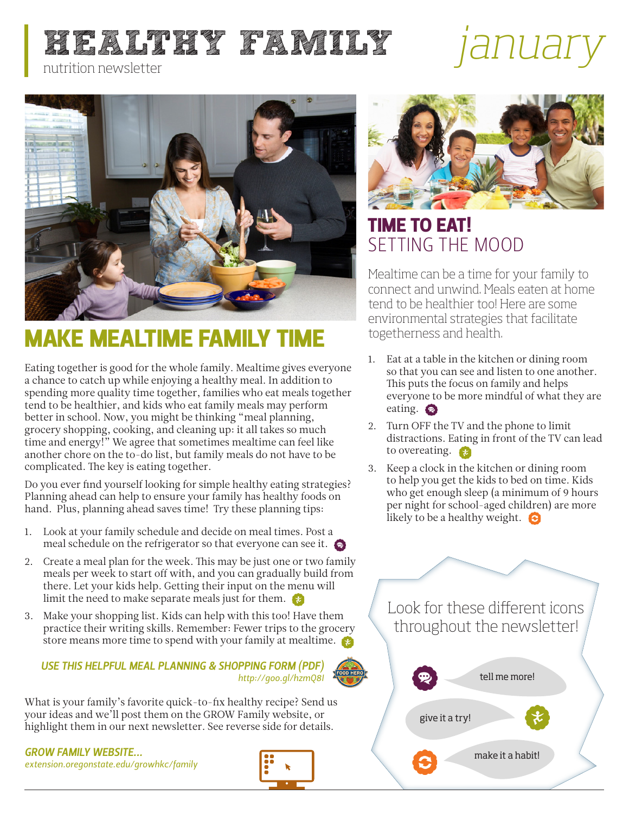# **HEALTHY FAMILY** *janual*



## MAKE MEALTIME FAMILY TIME

Eating together is good for the whole family. Mealtime gives everyone a chance to catch up while enjoying a healthy meal. In addition to spending more quality time together, families who eat meals together tend to be healthier, and kids who eat family meals may perform better in school. Now, you might be thinking "meal planning, grocery shopping, cooking, and cleaning up: it all takes so much time and energy!" We agree that sometimes mealtime can feel like another chore on the to-do list, but family meals do not have to be complicated. The key is eating together.

Do you ever find yourself looking for simple healthy eating strategies? Planning ahead can help to ensure your family has healthy foods on hand. Plus, planning ahead saves time! Try these planning tips:

- 1. Look at your family schedule and decide on meal times. Post a meal schedule on the refrigerator so that everyone can see it.
- 2. Create a meal plan for the week. This may be just one or two family meals per week to start off with, and you can gradually build from there. Let your kids help. Getting their input on the menu will limit the need to make separate meals just for them.
- 3. Make your shopping list. Kids can help with this too! Have them practice their writing skills. Remember: Fewer trips to the grocery store means more time to spend with your family at mealtime.

#### *USE THIS HELPFUL MEAL PLANNING & SHOPPING FORM (PDF[\)](http://foodhero.org)  http://goo.gl/hzmQ8I*

What is your family's favorite quick-to-fix healthy recipe? Send us your ideas and we'll post them on the GROW Family website, or highlight them in our next newsletter. See reverse side for details.

*GROW FAMILY WEBSITE... [extension.oregonstate.edu/growhkc/family](http://extension.oregonstate.edu/growhkc/family)*





## TIME TO EAT! SETTING THE MOOD

Mealtime can be a time for your family to connect and unwind. Meals eaten at home tend to be healthier too! Here are some environmental strategies that facilitate togetherness and health.

- 1. Eat at a table in the kitchen or dining room so that you can see and listen to one another. This puts the focus on family and helps everyone to be more mindful of what they are eating.  $\bullet$
- 2. Turn OFF the TV and the phone to limit distractions. Eating in front of the TV can lead to overeating.  $\epsilon$
- 3. Keep a clock in the kitchen or dining room to help you get the kids to bed on time. Kids who get enough sleep (a minimum of 9 hours per night for school-aged children) are more likely to be a healthy weight.  $\bigodot$